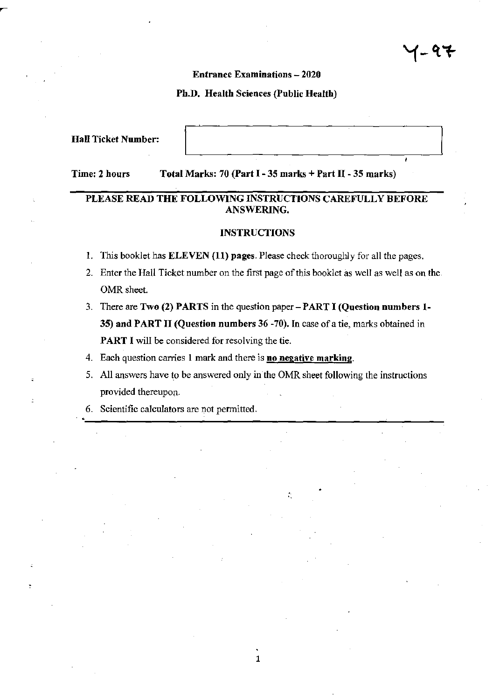#### Entrance Examinations - 2020

#### Ph.D. Health Sciences (Public Health)

Hall Ticket Number:

Time: 2 hours Total Marks: 70 (Part I - 35 marks + Part II - 35 marks)

# PLEASE READ THE FOLLOWING INSTRUCTIONS CAREFULLY BEFORE ANSWERING.

#### INSTRUCTIONS

- I. This booklet has ELEVEN (11) pages. Please check thoroughly for all the pages.
- 2. Enter the Hall Ticket nwnber on the first page of this booklet as well as well as on the OMR sheet.
- 3. There are Two (2) PARTS in the question paper PART I (Question numbers 1- 35) and PART II (Question numbers 36 -70). In case of a tie, marks obtained in PART I will be considered for resolving the tie.
- 4. Each question carries 1 mark and there is no negative marking.
- 5. All answers have to be answered only in the OMR sheet following the instructions provided thereupon. provided thereupon.<br>
6. Scientific calculators are not permitted.

1

.

6. Scientific calculators are not permitted .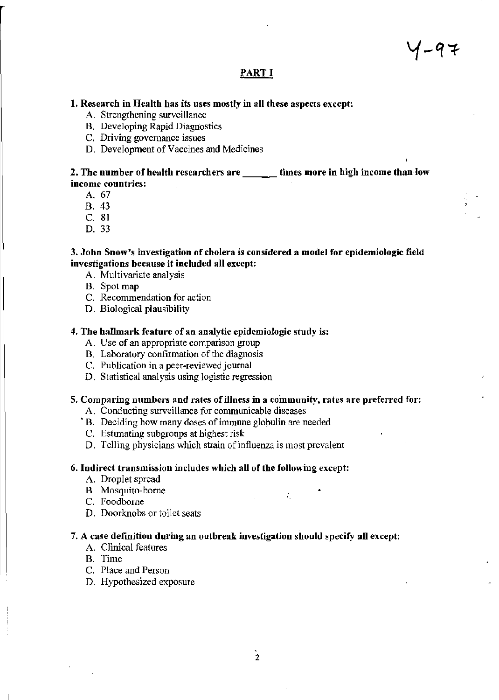イー9キ

#### PART I

#### 1. Research in Health has its uses mostly in all these aspects except:

- A. Strengthening surveillance
- B. Developing Rapid Diagnostics
- C. Driving governance issues
- D. Development of Vaccines and Medicines

# 1<br>2. The number of health researchers are \_\_\_\_\_\_ times more in high income than low income countries:

- A. 67
- B. 43
- C. 81
- D. 33

#### 3. John Snow's investigation of cholera is considered a model for epidemiologic field investigations because it included all except:

- A. Multivariate analysis
- B. Spot map
- C. Recommendation for action
- D. Biological plausibility

#### 4. The hallmark feature of an analytic epidemiologic study is:

- A. Use of an appropriate comparison group
- B. Laboratory confirmation of the diagnosis
- C. Publication in a peer-reviewed journal
- D. Statistical analysis using logistic regression

#### S. Comparing numbers and rates of illness in a community, rates are preferred for:

 $\mathcal{I}_\text{c}$ 

- A. Conducting surveillance for communicable diseases
- . B. Deciding how many doses of immune globulin are needed
- C. Estimating subgroups at highest risk
- D. Telling physicians which strain of influenza is most prevalent

#### 6. Indirect transmission includes which aU of the following except:

- A. Droplet spread
- B. Mosquito-borne
- C. Foodborne
- D. Doorknobs or toilet seats

#### 7. A case definition during an outbreak investigation should specify all except:

- A. Clinical features
- B. Time
- C. Place and Person
- D. Hypothesized exposure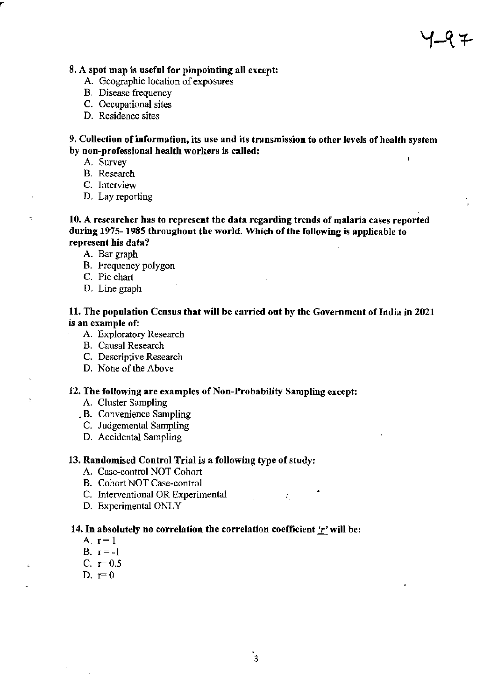#### 8. A spot map is useful for pinpointing all except:

- A. Geographic location of exposures
- B. Disease frequency
- C. Occupational sites
- D. Residence sites

9. Collection of information, its use and its transmission to other levels of health system by non-professional health workers is called:

A. Survey

 $\overline{\mathbf{c}}$ 

- B. Research
- C. Interview
- D. Lay reporting

10. A researcher has to represent the data regarding trends of malaria cases reported during 1975- 1985 throughout the world. Which of the following is applicable to represent his data?

- A. Bar graph
- B. Frequency polygon
- C. Pie chart
- D. Line graph

#### 11. The population Census that will be carried out by the Government of India in 2021 is an example of:

- A. Exploratory Research
- B. Causal Research
- C. Descriptive Research
- D. None of the Above

#### 12. The following are examples or Non-Probability Sampling except:

- A. Cluster Sampling
- B. Convenience Sampling
- C. Judgemental Sampling
- D. Accidental Sampling

#### 13. Randomised Control Trial is a following type of study:

- A. Case-control NOT Cohort
- B. Cohort NOT Case-control
- C. Interventional OR Experimental .
- D. Experimental ONLY

#### 14. In absolutely no correlation the correlation coefficient  $\mathbf{r}'$  will be:

- A.  $r=1$
- B.  $r = -1$
- C.  $r=0.5$
- D.  $r=0$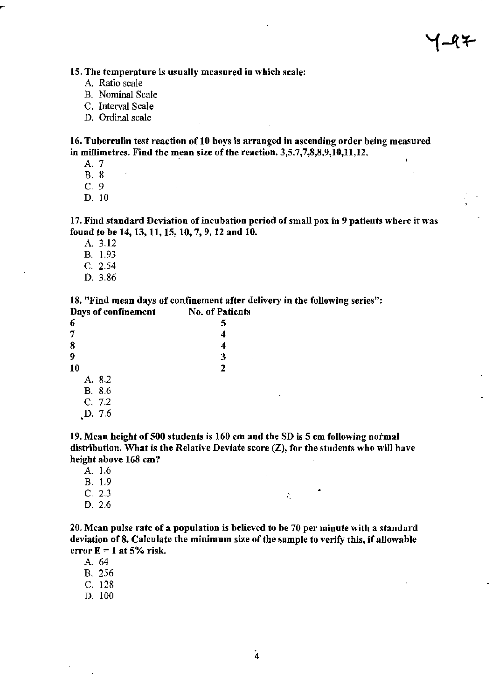#### 15. The temperature is usually measured in which scale:

- A. Ratio scale
- B. Nominal Scale
- C. Interval Scale
- D. Ordinal scale

16. Tuberculin test reaction of 10 boys is arranged in ascending order being measured in millimetres. Find the mean size of the reaction.  $3,5,7,7,8,8,9,10,11,12$ .  $\mathbf{r}$ 

- A. 7
- B. 8
- C. 9
- D. 10

17. Find standard Deviation of incubation period of small pox in 9 patients where it was found to be 14, 13, 11, 15, 10, 7, 9, 12 and 10.

- A. 3.12
- B. 1.93
- C. 2.54
- D.3.86

18. "Find mean days of confinement after delivery in the following series":

| Days of confinement | <b>No. of Patients</b> |
|---------------------|------------------------|
| 6                   | 5                      |
| 7                   |                        |
| 8                   | 4                      |
| 9                   | 3                      |
| 10                  | 2                      |
| A. 8.2              |                        |
| <b>B.</b> 8.6       |                        |
| C. 7.2              |                        |
| D. 7.6              |                        |

19. Mean height of500 students is 160 em and the SD is 5 cm following normal distribution. What is the Relative Deviate score (Z), for the students who will have height above 168 cm?

- A. 1.6
- B. 1.9
- C. 2.3
- D.2.6

20. Mean pulse rate of a population is believed to be 70 per minute with a standard deviation of 8. Calculate the minimum size of the sample to verify this, if allowable error  $E = 1$  at 5% risk.

'.

- A. 64
- B. 256
- C. 128
- D. 100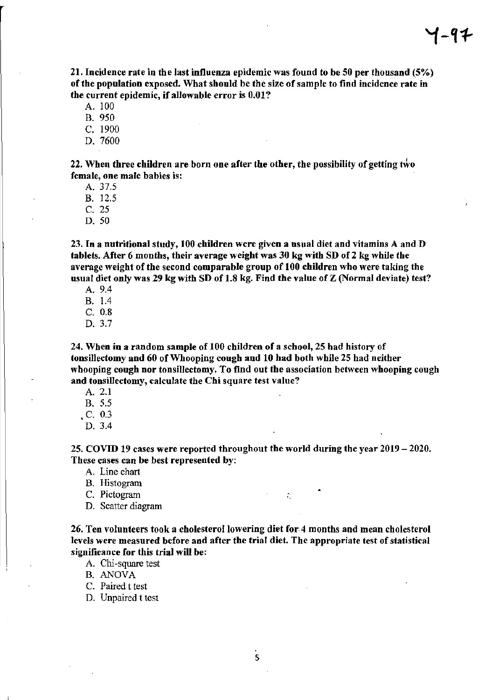21. Incidence rate in the last influenza epidemic was found to be 50 per thousand (5%) of the population exposed. What should be the size of sample to find incidence rate in the current epidemic, if allowable error is 0.01?

A. 100

B. 950

C. 1900

D. 7600

22. When three children are born one after the other, the possibility of getting  $t_{w0}$ female, one male babies is:

A. 37.5

B. 12.5

C. 25

D. 50

23. In a nutritional study, 100 children were given a usual diet and vitamins A and D tablets. After 6 months, their average weight was 30 kg with SD of 2 kg while the average weight of the second comparable group of 100 children who were taking the usual diet only was 29 kg with SD of 1.8 kg. Find the value of Z (Normal deviate) test?

A. 9.4

B. 1.4

C. 0.8

D. 3.7

24. When in a random sample of 100 children of a school, 25 had history of tonsillectomy and 60 of Whooping cough and 10 had both while 25 had neither whooping cough nor tonsillectomy. To find out the association between whooping cough and tonsillectomy, calculate the Chi square test value?

A. 2.1

B. 5.5

• C. 0.3

D. 3.4

25. COVID 19 cases were reported throughout the world during the year 2019 - 2020. These cases can be best represented by:

A. Line chart

B. Histogram

C. Pictogram  $\therefore$ 

D. Scatter diagram

26. Ten volunteers took a cholesterol lowering diet for.4 months and mean cholesterol levels were measured before and after the trial diet. The appropriate test of statistical significance for this trial will be:

A. Chi-square test

B. ANOVA

c. Paired t test

D. Unpaired t test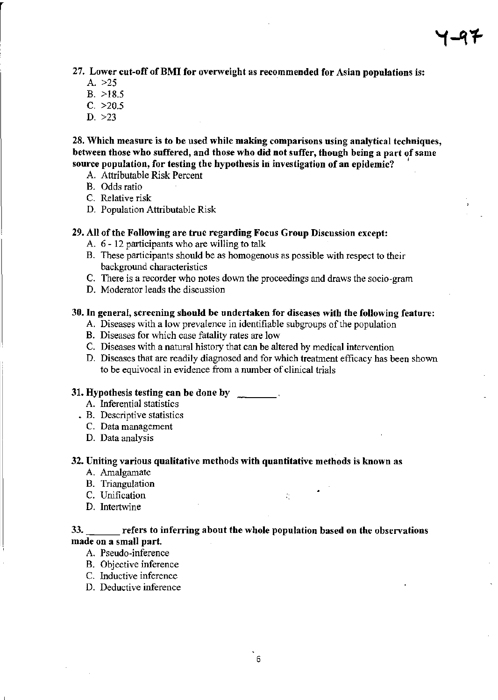27. Lower cut-off ofBMI for ovenveight as recommended for Asiau populations is:

- A. >25
- $B. >18.5$
- $C. >20.5$
- $D. >23$

28. Which measure is to be used while making comparisons using analytical techniques, between those who suffered, and those who did not suffer, though being a part of same source population, for testing the hypothesis in investigation of an epidemic?

- A. Attributable Risk Percent
- B. Odds ratio
- C. Relative risk
- D. Population Attributable Risk

# 29. All of the Following are true regarding Focus Group Discussion except:

- A. 6 12 participants who are willing to talk
- B. These participants should be as homogenous as possible with respect to their background characteristics
- C. There is a recorder who notes down the proceedings and draws the socio-gram
- D. Moderator leads the discussion

# 30. In general, screening should be undertaken for diseases with the following feature:

- A. Diseases with a low prevalence in identifiable subgroups of the population
- B. Diseases for which case fatality rates are low
- C. Diseases with a natural history that can be altered by medical intervention
- D. Diseases that are readily diagnosed and for which treatment efficacy has been shown to be equivocal in evidence from a nwnber of clinical trials

# 31. Hypothesis testing can be done by

- A. Inferential statistics
- B. Descriptive statistics
	- C. Data management
	- D. Data analysis

# 32. Uniting various qualitative methods with quantitative methods is known as

- A. Amalgamate
- B. Triangulation
- C. Unification
- D. Intertwine

# 33. refers to inferring about the whole population based on the observations made on a small part.

÷.

- A. Pseudo-inference
- B. Objective inference
- C. Inductive inference
- D. Deductive inference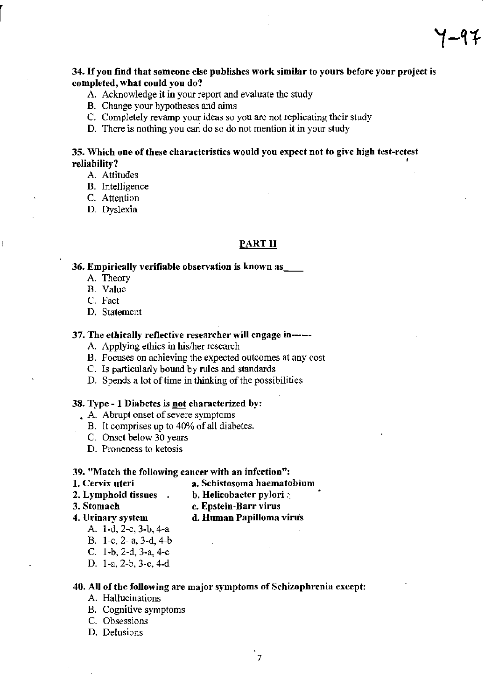34. If you find that someone else publishes work similar to yours before your project is completed, what could you do?

- A. Acknowledge it in your report and evaluate the study
- B. Change your hypotheses and aims
- C. Completely revamp your ideas so you are not replicating their study
- D. There is nothing you can do so do not mention it in your study

# 35. Which one of these characteristics would you expect not to give high test-retest reliability?

- A. Attitudes
- B. Intelligence
- C. Attention
- D. Dyslexia

#### PART II

36. Empirically verifiable observation is known as \_\_

- A. Theory
- B. Value
- C. Fact
- D. Statement

#### 37. The ethically reflective researcher will engage in------

A. Applying ethics in his/her research

B. Focuses on achieving the expected outcomes at any cost

- C. Is particularly bound by rules and standards
- D. Spends a lot of time in thinking of the possibilities

# 38. Type - 1 Diabetes is not characterized by:

- A. Abrupt onset of severe symptoms
	- B. It comprises up to 40% of all diabetes.
	- C. Onset below 30 years
	- D. Proneness to ketosis

#### 39. "Match the following cancer with an infection":

- 1. Cervix uteri a. Schistosoma haematobium
	-
- 
- 2. Lymphoid tissues  $\Box$  b. Helicobacter pylori :
- 3. Stomach c. Epstein-Barr virus
- 4. Urinary system d. Human Papilloma virus
	- A. I-d. 2-e, 3-b, 4-a
	- B. l-e, 2- a, 3-d, 4-b
	- C. 1-b, 2-d, 3-a, 4-c
	- D. I-a, 2-b. 3-e, 4-d

# 40. All of the following are major symptoms of Schizophrenia except:

- A. Hallucinations
- B. Cognitive symptoms
- C. Obsessions
- D. Delusions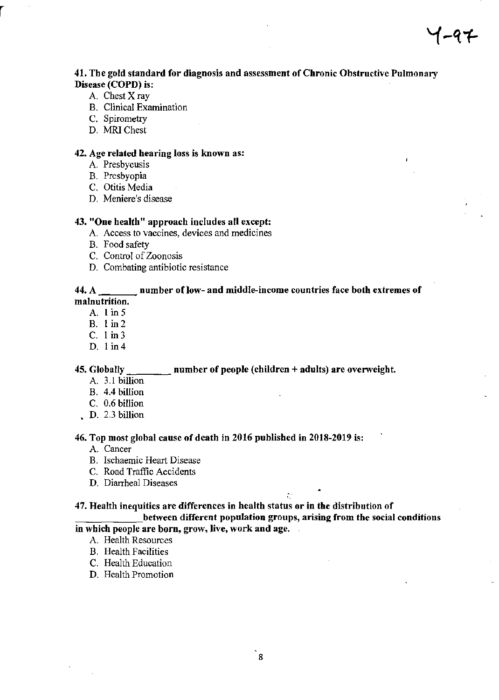# 41. The gold standard for diagnosis and assessment of Chronic Obstructive Pulmonary Disease (COPD) is:

1-97

- A. Chest X ray
- B. Clinical Examination
- C. Spirometry
- D. MRIChest

#### 42. Age related hearing loss is known as:

- A. Presbycusis
- B. Presbyopia
- C. Otitis Media
- D. Meniere's disease

### 43. "One health" approach includes all except:

- A. Access to vaccines, devices and medicines
- B. Food safety
- C. Control of Zoonosis
- D. Combating antibiotic resistance

#### 44. A \_\_\_\_\_\_ number of low- and middle-income countries face both extremes of malnutrition.

- A. lin5
- B. lin2
- C. 1 in3
- D. 1 in 4

#### 45. Globally  $\blacksquare$  number of people (children + adults) are overweight.

- A. 3.1 billion
- B. 4.4 billion
- C. 0.6 billion
- D. 2.3 billion

#### 46. Top most global cause of death in 2016 published in 2018-2019 is:

- A. Cancer
- B. Ischaemic Heart Disease
- C. Road Traffic Accidents
- D. Diarrheal Diseases

# 47. Health inequities are differences in health status or in the distribution of

between different population groups, arising from the social conditions in which people are born, grow, Jive, work and age.

.

- A. Health Resources
- B. Health Facilities
- C. Health Education
- D. Health Promotion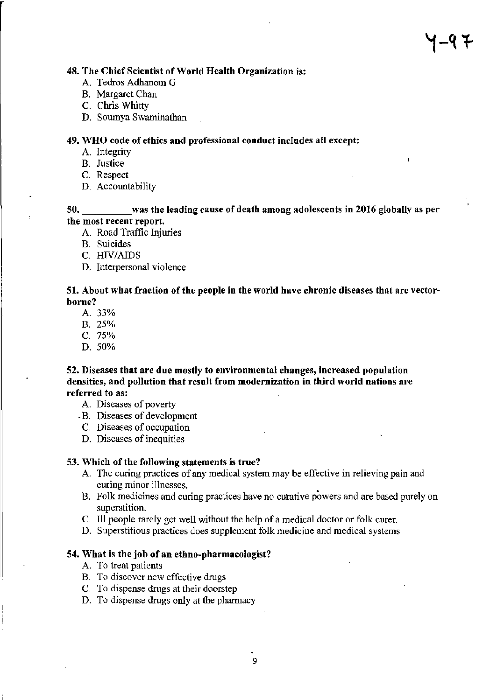#### 48. The Chief Scientist of World Health Organization is:

- A. Tedros Adhanom G
- B. Margaret Chan
- C. Chris Whitty
- D. Soumya Swaminathan

#### 49. WHO code of ethics and professional conduct includes all except:

- A. Integrity
- B. Justice
- C. Respect
- D. Accountability

# 50. was the leading cause of death among adolescents in 2016 globally as per the most recent report.

- A. Road Traffic Injuries
- B. Suicides
- C. HIV/AIDS
- D. Interpersonal violence

#### 51. About what fraction of the people in the world have chronic diseases that are vectorborne?

- A. 33%
- B. 25%
- C.75%
- D.50%

# 52. Diseases that are due mostly to environmental changes, increased population densities, and pollution that result from modernization in third world nations are referred to as:

- A. Diseases of poverty
- .S. Diseases of development
- C. Diseases of occupation
- D. Diseases of inequities

#### 53. Which of the following statements is true?

- A. The curing practices of any medical system may be effective in relieving pain and curing minor illnesses.
- B. Folk medicines and curing practices have no curative powers and are based purely on superstition.
- C. III people rarely get well without the help of a medical doctor or folk curer.
- D. Superstitious practices does supplement folk medicine and medical systems

#### 54. What is the job of an ethno-pharmacologist?

- A. To treat patients
- B. To discover new effective drugs
- C. To dispense drugs at their doorstep
- D. To dispense drugs only at the pharmacy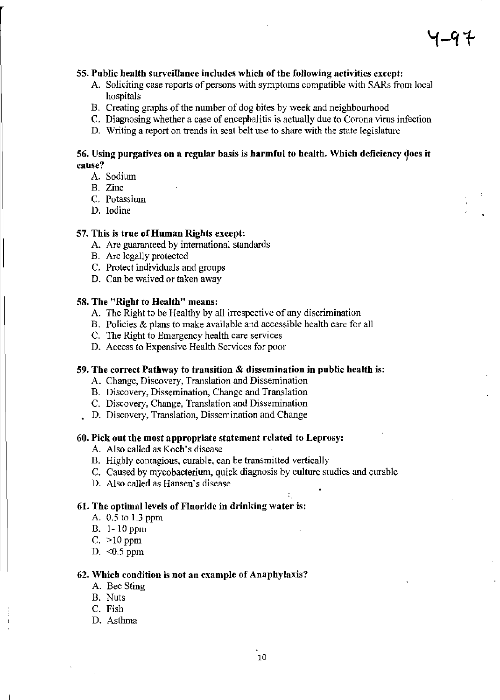# 55. Public health surveillance includes which of the following activities except:

- A. Soliciting case reports of persons with symptoms compatible with SARs from local hospitals
- B. Creating graphs of the number of dog bites by week and neighbourhood
- C. Diagnosing whether a case of encephalitis is actually due to Corona virus infection
- D. Writing a report on trends in seat belt use to share with the state legislature

# 56. Using purgatives on a regular basis is harmful to health. Which deficiency does it cause?

- A. Sodium
- B. Zinc
- C. Potassium
- D. Iodine

# 57. This is true of Human Rights exceph

- A. Are guaranteed by international standards
- B. Are legally protected
- C. Protect individuals and groups
- D. Can be waived or taken away

#### 58. The "Right to Health" means:

- A. The Right to be Healthy by all irrespective of any discrimination
- B. Policies & plans to make available and accessible health care for all
- C. The Right to Emergency health care services
- D. Access to Expensive Health Services for poor

#### 59. The correct Pathway to transition & dissemination in public health is:

- A. Change, Discovery, Translation and Dissemination
- B. Discovery, Dissemination, Change and Translation
- C. Discovery, Change, Translation and Dissemination
- D. Discovery, Translation, Dissemination and Change

#### 60. Pick out the most appropriate statement related to Leprosy:

- A. Also called as Koch's disease
- B. Highly contagious, curable, can be transmitted vertically
- C. Caused by mycobacterium, quick diagnosis by culture studies and curable

.

D. Also called as Hansen's disease

# 61. The optimal levels of Fluoride in drinking water is:

- A. *0.5* to 1.3 ppm
- B. 1-IOppm
- C. >10 ppm
- D. *<0.5* ppm

#### 62. Which condition is not an example of Anaphylaxis?

- A. Bee Sting
- B. Nuts
- C. Fish
- D. Asthma